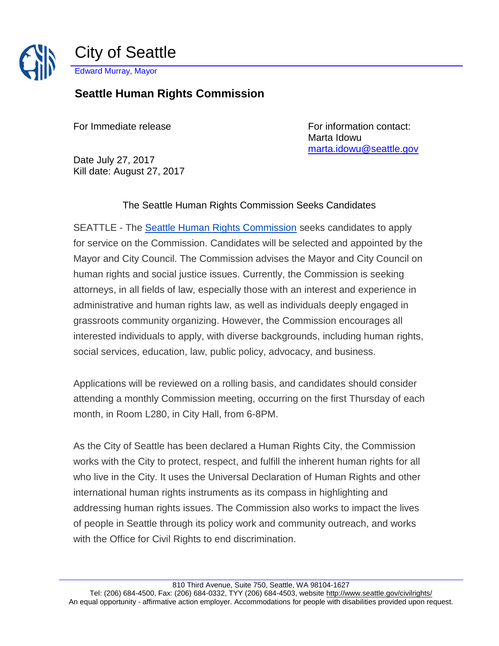

## **Seattle Human Rights Commission**

For Immediate release For information contact: Marta Idowu [marta.idowu@seattle.gov](mailto:marta.idowu@seattle.gov)

Date July 27, 2017 Kill date: August 27, 2017

The Seattle Human Rights Commission Seeks Candidates

SEATTLE - The [Seattle Human Rights Commission](http://www.seattle.gov/seattle-human-rights-commission) seeks candidates to apply for service on the Commission. Candidates will be selected and appointed by the Mayor and City Council. The Commission advises the Mayor and City Council on human rights and social justice issues. Currently, the Commission is seeking attorneys, in all fields of law, especially those with an interest and experience in administrative and human rights law, as well as individuals deeply engaged in grassroots community organizing. However, the Commission encourages all interested individuals to apply, with diverse backgrounds, including human rights, social services, education, law, public policy, advocacy, and business.

Applications will be reviewed on a rolling basis, and candidates should consider attending a monthly Commission meeting, occurring on the first Thursday of each month, in Room L280, in City Hall, from 6-8PM.

As the City of Seattle has been declared a Human Rights City, the Commission works with the City to protect, respect, and fulfill the inherent human rights for all who live in the City. It uses the Universal Declaration of Human Rights and other international human rights instruments as its compass in highlighting and addressing human rights issues. The Commission also works to impact the lives of people in Seattle through its policy work and community outreach, and works with the Office for Civil Rights to end discrimination.